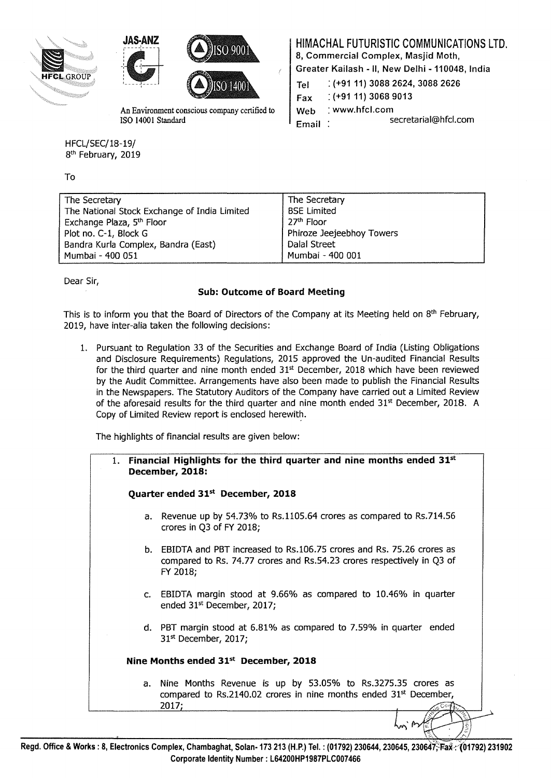





HFCL/SEC/18-19/ 8<sup>th</sup> February, 2019

To

HIMACHAL FUTURISTIC COMMUNICATIONS LTD.

8, Commercial Complex, Masjid Moth,

Greater Kailash - II, New Delhi - 110048, India

| <b>SSARA PRESERV</b>                          | $\sum_{i=1}^{n} S_i(0)$ $\geq 0$ | Tel<br>Fax | $( +91 11) 3088 2624, 3088 2626$<br>$( +91 11) 3068 9013$ |
|-----------------------------------------------|----------------------------------|------------|-----------------------------------------------------------|
| An Environment conscious company certified to |                                  | l Web      | $:$ www.hfcl.com                                          |
| ISO 14001 Standard                            |                                  | Email      | secretarial@hfcl.com                                      |

| The Secretary                                | The Secretary             |
|----------------------------------------------|---------------------------|
| The National Stock Exchange of India Limited | <b>BSE Limited</b>        |
| Exchange Plaza, 5 <sup>th</sup> Floor        | 27 <sup>th</sup> Floor    |
| Plot no. C-1, Block G                        | Phiroze Jeejeebhoy Towers |
| Bandra Kurla Complex, Bandra (East)          | Dalal Street              |
| Mumbai - 400 051                             | Mumbai - 400 001          |

Dear Sir,

## Sub: Outcome of Board Meeting

This is to inform you that the Board of Directors of the Company at its Meeting held on 8<sup>th</sup> February, 2019, have inter-alia taken the following decisions:

1. Pursuant to Regulation 33 of the Securities and Exchange Board of India (Listing Obligations and Disclosure Requirements) Regulations, 2015 approved the Un-audited Financial Results for the third quarter and nine month ended  $31<sup>st</sup>$  December, 2018 which have been reviewed by the Audit Committee. Arrangements have also been made to publish the Financial Results in the Newspapers. The Statutory Auditors of the Company have carried out a Limited Review of the aforesaid results for the third quarter and nine month ended  $31<sup>st</sup>$  December, 2018. A Copy of Limited Review report is enclosed herewith.

The highlights of financial results are given below:

| 1. Financial Highlights for the third quarter and nine months ended $31st$<br>December, 2018:                                                                 |
|---------------------------------------------------------------------------------------------------------------------------------------------------------------|
| Quarter ended 31 <sup>st</sup> December, 2018                                                                                                                 |
| a. Revenue up by 54.73% to Rs.1105.64 crores as compared to Rs.714.56<br>crores in Q3 of FY 2018;                                                             |
| b. EBIDTA and PBT increased to Rs.106.75 crores and Rs. 75.26 crores as<br>compared to Rs. 74.77 crores and Rs.54.23 crores respectively in Q3 of<br>FY 2018; |
| c. EBIDTA margin stood at 9.66% as compared to 10.46% in quarter<br>ended 31 <sup>st</sup> December, 2017;                                                    |
| d. PBT margin stood at 6.81% as compared to 7.59% in quarter ended<br>$31st$ December, 2017;                                                                  |
| Nine Months ended 31 <sup>st</sup> December, 2018                                                                                                             |
| a. Nine Months Revenue is up by 53.05% to Rs.3275.35 crores as<br>compared to Rs.2140.02 crores in nine months ended $31st$ December,<br>2017;                |
|                                                                                                                                                               |